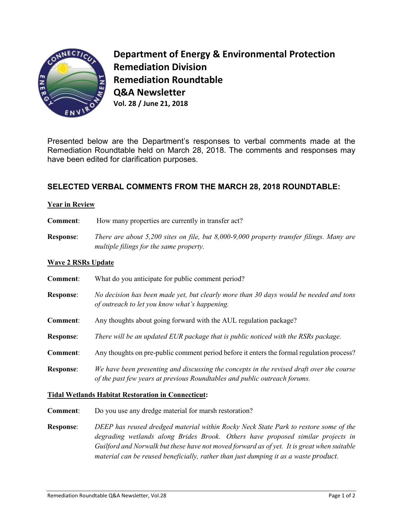

**Department of Energy & Environmental Protection Remediation Division Remediation Roundtable Q&A Newsletter Vol. 28 / June 21, 2018**

Presented below are the Department's responses to verbal comments made at the Remediation Roundtable held on March 28, 2018. The comments and responses may have been edited for clarification purposes.

# **SELECTED VERBAL COMMENTS FROM THE MARCH 28, 2018 ROUNDTABLE:**

## **Year in Review**

- **Comment:** How many properties are currently in transfer act?
- **Response**: *There are about 5,200 sites on file, but 8,000-9,000 property transfer filings. Many are multiple filings for the same property.*

## **Wave 2 RSRs Update**

**Comment**: What do you anticipate for public comment period? **Response**: *No decision has been made yet, but clearly more than 30 days would be needed and tons of outreach to let you know what's happening.* **Comment**: Any thoughts about going forward with the AUL regulation package? **Response**: *There will be an updated EUR package that is public noticed with the RSRs package.*  **Comment**: Any thoughts on pre-public comment period before it enters the formal regulation process? **Response**: *We have been presenting and discussing the concepts in the revised draft over the course of the past few years at previous Roundtables and public outreach forums.* 

#### **Tidal Wetlands Habitat Restoration in Connecticut:**

- **Comment**: Do you use any dredge material for marsh restoration?
- **Response**: *DEEP has reused dredged material within Rocky Neck State Park to restore some of the degrading wetlands along Brides Brook. Others have proposed similar projects in Guilford and Norwalk but these have not moved forward as of yet. It is great when suitable material can be reused beneficially, rather than just dumping it as a waste product.*